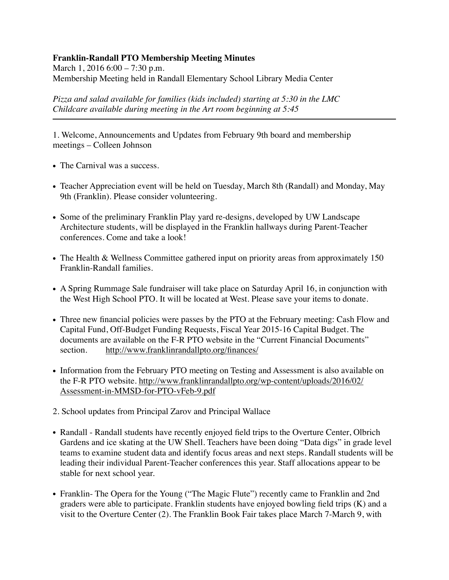## **Franklin-Randall PTO Membership Meeting Minutes**

March 1, 2016 6:00 – 7:30 p.m. Membership Meeting held in Randall Elementary School Library Media Center

*Pizza and salad available for families (kids included) starting at 5:30 in the LMC Childcare available during meeting in the Art room beginning at 5:45*

1. Welcome, Announcements and Updates from February 9th board and membership meetings – Colleen Johnson

- The Carnival was a success.
- Teacher Appreciation event will be held on Tuesday, March 8th (Randall) and Monday, May 9th (Franklin). Please consider volunteering.
- Some of the preliminary Franklin Play yard re-designs, developed by UW Landscape Architecture students, will be displayed in the Franklin hallways during Parent-Teacher conferences. Come and take a look!
- The Health & Wellness Committee gathered input on priority areas from approximately 150 Franklin-Randall families.
- A Spring Rummage Sale fundraiser will take place on Saturday April 16, in conjunction with the West High School PTO. It will be located at West. Please save your items to donate.
- Three new financial policies were passes by the PTO at the February meeting: Cash Flow and Capital Fund, Off-Budget Funding Requests, Fiscal Year 2015-16 Capital Budget. The documents are available on the F-R PTO website in the "Current Financial Documents" section. <http://www.franklinrandallpto.org/finances/>
- Information from the February PTO meeting on Testing and Assessment is also available on [the F-R PTO website. http://www.franklinrandallpto.org/wp-content/uploads/2016/02/](http://www.franklinrandallpto.org/wp-content/uploads/2016/02/Assessment-in-MMSD-for-PTO-vFeb-9.pdf) Assessment-in-MMSD-for-PTO-vFeb-9.pdf
- 2. School updates from Principal Zarov and Principal Wallace
- Randall Randall students have recently enjoyed field trips to the Overture Center, Olbrich Gardens and ice skating at the UW Shell. Teachers have been doing "Data digs" in grade level teams to examine student data and identify focus areas and next steps. Randall students will be leading their individual Parent-Teacher conferences this year. Staff allocations appear to be stable for next school year.
- Franklin- The Opera for the Young ("The Magic Flute") recently came to Franklin and 2nd graders were able to participate. Franklin students have enjoyed bowling field trips (K) and a visit to the Overture Center (2). The Franklin Book Fair takes place March 7-March 9, with